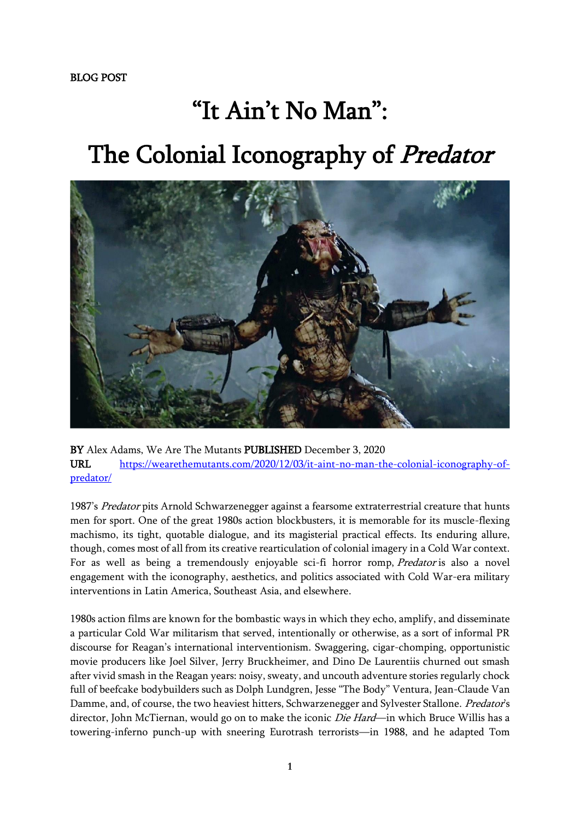## "It Ain't No Man" : The Colonial Iconography of Predator



BY Alex Adams, We Are The Mutants PUBLISHED December 3, 2020 URL [https://wearethemutants.com/2020/12/03/it-aint-no-man-the-colonial-iconography-of](https://wearethemutants.com/2020/12/03/it-aint-no-man-the-colonial-iconography-of-predator/)[predator/](https://wearethemutants.com/2020/12/03/it-aint-no-man-the-colonial-iconography-of-predator/)

1987's Predator pits Arnold Schwarzenegger against a fearsome extraterrestrial creature that hunts men for sport. One of the great 1980s action blockbusters, it is memorable for its muscle-flexing machismo, its tight, quotable dialogue, and its magisterial practical effects. Its enduring allure, though, comes most of all from its creative rearticulation of colonial imagery in a Cold War context. For as well as being a tremendously enjoyable sci-fi horror romp, Predator is also a novel engagement with the iconography, aesthetics, and politics associated with Cold War-era military interventions in Latin America, Southeast Asia, and elsewhere.

1980s action films are known for the bombastic ways in which they echo, amplify, and disseminate a particular Cold War militarism that served, intentionally or otherwise, as a sort of informal PR discourse for Reagan's international interventionism. Swaggering, cigar-chomping, opportunistic movie producers like Joel Silver, Jerry Bruckheimer, and Dino De Laurentiis churned out smash after vivid smash in the Reagan years: noisy, sweaty, and uncouth adventure stories regularly chock full of beefcake bodybuilders such as Dolph Lundgren, Jesse "The Body" Ventura, Jean-Claude Van Damme, and, of course, the two heaviest hitters, Schwarzenegger and Sylvester Stallone. Predator's director, John McTiernan, would go on to make the iconic *Die Hard*—in which Bruce Willis has a towering-inferno punch-up with sneering Eurotrash terrorists—in 1988, and he adapted Tom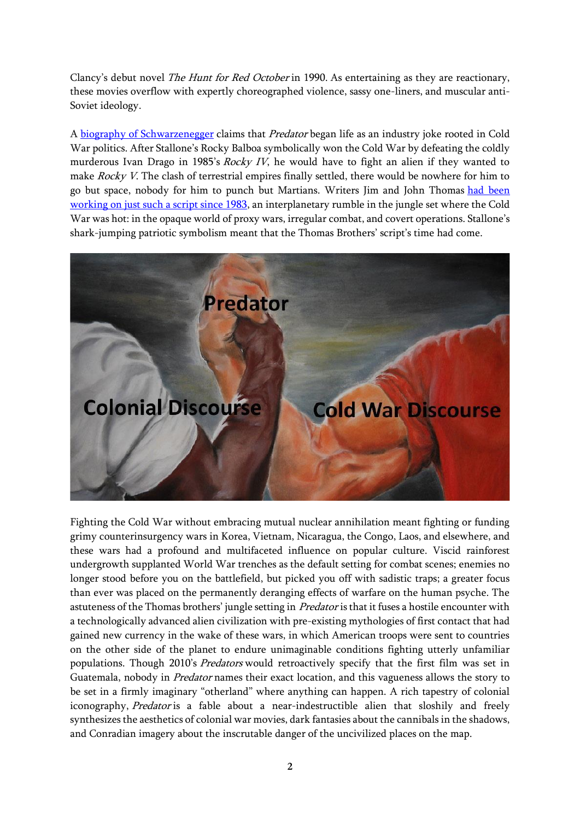Clancy's debut novel The Hunt for Red October in 1990. As entertaining as they are reactionary, these movies overflow with expertly choreographed violence, sassy one-liners, and muscular anti-Soviet ideology.

A [biography of Schwarzenegger](https://us.macmillan.com/books/9781429906364) claims that Predator began life as an industry joke rooted in Cold War politics. After Stallone's Rocky Balboa symbolically won the Cold War by defeating the coldly murderous Ivan Drago in 1985's Rocky IV, he would have to fight an alien if they wanted to make *Rocky V*. The clash of terrestrial empires finally settled, there would be nowhere for him to go but space, nobody for him to punch but Martians. Writers Jim and John Thomas had been [working on just such a script since 1983,](https://www.gamesradar.com/the-story-behind-predator/) an interplanetary rumble in the jungle set where the Cold War was hot: in the opaque world of proxy wars, irregular combat, and covert operations. Stallone's shark-jumping patriotic symbolism meant that the Thomas Brothers' script's time had come.



Fighting the Cold War without embracing mutual nuclear annihilation meant fighting or funding grimy counterinsurgency wars in Korea, Vietnam, Nicaragua, the Congo, Laos, and elsewhere, and these wars had a profound and multifaceted influence on popular culture. Viscid rainforest undergrowth supplanted World War trenches as the default setting for combat scenes; enemies no longer stood before you on the battlefield, but picked you off with sadistic traps; a greater focus than ever was placed on the permanently deranging effects of warfare on the human psyche. The astuteness of the Thomas brothers' jungle setting in Predator is that it fuses a hostile encounter with a technologically advanced alien civilization with pre-existing mythologies of first contact that had gained new currency in the wake of these wars, in which American troops were sent to countries on the other side of the planet to endure unimaginable conditions fighting utterly unfamiliar populations. Though 2010's Predators would retroactively specify that the first film was set in Guatemala, nobody in Predator names their exact location, and this vagueness allows the story to be set in a firmly imaginary "otherland" where anything can happen. A rich tapestry of colonial iconography, Predator is a fable about a near-indestructible alien that sloshily and freely synthesizes the aesthetics of colonial war movies, dark fantasies about the cannibals in the shadows, and Conradian imagery about the inscrutable danger of the uncivilized places on the map.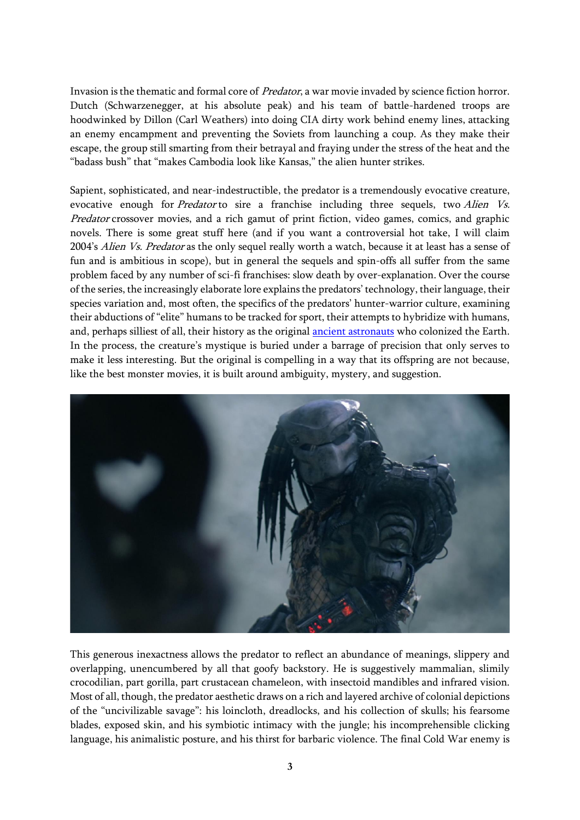Invasion is the thematic and formal core of Predator, a war movie invaded by science fiction horror. Dutch (Schwarzenegger, at his absolute peak) and his team of battle-hardened troops are hoodwinked by Dillon (Carl Weathers) into doing CIA dirty work behind enemy lines, attacking an enemy encampment and preventing the Soviets from launching a coup. As they make their escape, the group still smarting from their betrayal and fraying under the stress of the heat and the "badass bush" that "makes Cambodia look like Kansas," the alien hunter strikes.

Sapient, sophisticated, and near-indestructible, the predator is a tremendously evocative creature, evocative enough for *Predator* to sire a franchise including three sequels, two *Alien Vs.* Predator crossover movies, and a rich gamut of print fiction, video games, comics, and graphic novels. There is some great stuff here (and if you want a controversial hot take, I will claim 2004's Alien Vs. Predator as the only sequel really worth a watch, because it at least has a sense of fun and is ambitious in scope), but in general the sequels and spin-offs all suffer from the same problem faced by any number of sci-fi franchises: slow death by over-explanation. Over the course of the series, the increasingly elaborate lore explains the predators' technology, their language, their species variation and, most often, the specifics of the predators' hunter-warrior culture, examining their abductions of "elite" humans to be tracked for sport, their attempts to hybridize with humans, and, perhaps silliest of all, their history as the original [ancient astronauts](https://wearethemutants.com/2017/02/06/technology-worship-and-human-debasement-in-erich-von-danikens-chariots-of-the-gods/) who colonized the Earth. In the process, the creature's mystique is buried under a barrage of precision that only serves to make it less interesting. But the original is compelling in a way that its offspring are not because, like the best monster movies, it is built around ambiguity, mystery, and suggestion.



This generous inexactness allows the predator to reflect an abundance of meanings, slippery and overlapping, unencumbered by all that goofy backstory. He is suggestively mammalian, slimily crocodilian, part gorilla, part crustacean chameleon, with insectoid mandibles and infrared vision. Most of all, though, the predator aesthetic draws on a rich and layered archive of colonial depictions of the "uncivilizable savage": his loincloth, dreadlocks, and his collection of skulls; his fearsome blades, exposed skin, and his symbiotic intimacy with the jungle; his incomprehensible clicking language, his animalistic posture, and his thirst for barbaric violence. The final Cold War enemy is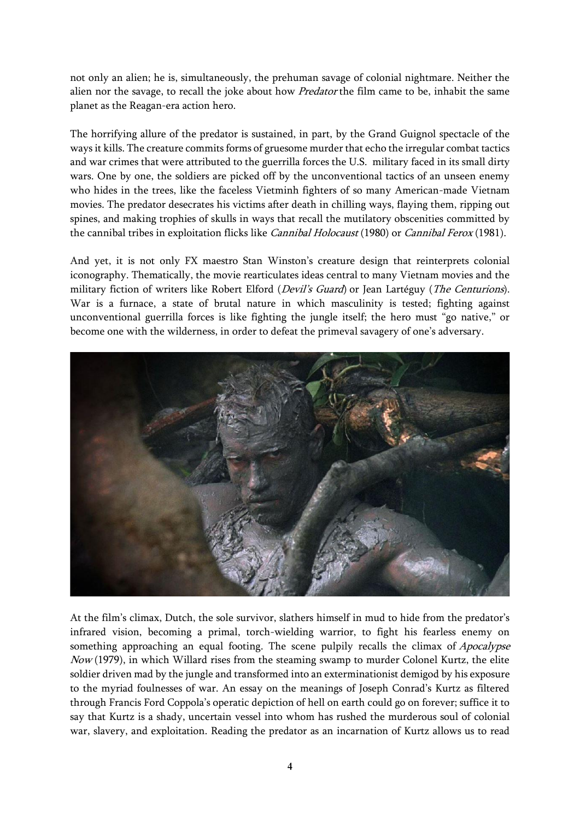not only an alien; he is, simultaneously, the prehuman savage of colonial nightmare. Neither the alien nor the savage, to recall the joke about how *Predator* the film came to be, inhabit the same planet as the Reagan-era action hero.

The horrifying allure of the predator is sustained, in part, by the Grand Guignol spectacle of the ways it kills. The creature commits forms of gruesome murder that echo the irregular combat tactics and war crimes that were attributed to the guerrilla forces the U.S. military faced in its small dirty wars. One by one, the soldiers are picked off by the unconventional tactics of an unseen enemy who hides in the trees, like the faceless Vietminh fighters of so many American-made Vietnam movies. The predator desecrates his victims after death in chilling ways, flaying them, ripping out spines, and making trophies of skulls in ways that recall the mutilatory obscenities committed by the cannibal tribes in exploitation flicks like *Cannibal Holocaust* (1980) or *Cannibal Ferox* (1981).

And yet, it is not only FX maestro Stan Winston's creature design that reinterprets colonial iconography. Thematically, the movie rearticulates ideas central to many Vietnam movies and the military fiction of writers like Robert Elford (Devil's Guard) or Jean Lartéguy (The Centurions). War is a furnace, a state of brutal nature in which masculinity is tested; fighting against unconventional guerrilla forces is like fighting the jungle itself; the hero must "go native," or become one with the wilderness, in order to defeat the primeval savagery of one's adversary.



At the film's climax, Dutch, the sole survivor, slathers himself in mud to hide from the predator's infrared vision, becoming a primal, torch-wielding warrior, to fight his fearless enemy on something approaching an equal footing. The scene pulpily recalls the climax of *Apocalypse*  $Now$  (1979), in which Willard rises from the steaming swamp to murder Colonel Kurtz, the elite soldier driven mad by the jungle and transformed into an exterminationist demigod by his exposure to the myriad foulnesses of war. An essay on the meanings of Joseph Conrad's Kurtz as filtered through Francis Ford Coppola's operatic depiction of hell on earth could go on forever; suffice it to say that Kurtz is a shady, uncertain vessel into whom has rushed the murderous soul of colonial war, slavery, and exploitation. Reading the predator as an incarnation of Kurtz allows us to read